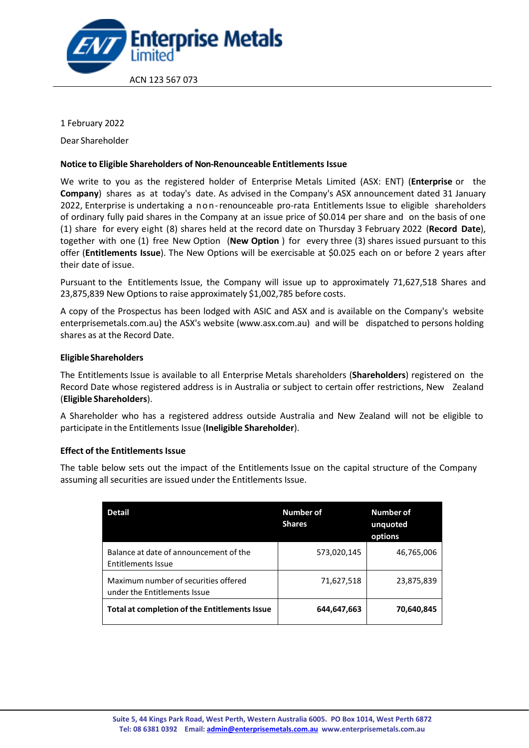

1 February 2022

Dear Shareholder

### **Notice to Eligible Shareholders of Non-Renounceable Entitlements Issue**

We write to you as the registered holder of Enterprise Metals Limited (ASX: ENT) (**Enterprise** or the **Company**) shares as at today's date. As advised in the Company's ASX announcement dated 31 January 2022, Enterprise is undertaking a non-renounceable pro-rata Entitlements Issue to eligible shareholders of ordinary fully paid shares in the Company at an issue price of \$0.014 per share and on the basis of one (1) share for every eight (8) shares held at the record date on Thursday 3 February 2022 (**Record Date**), together with one (1) free New Option (**New Option** ) for every three (3) shares issued pursuant to this offer (**Entitlements Issue**). The New Options will be exercisable at \$0.025 each on or before 2 years after their date of issue.

Pursuant to the Entitlements Issue, the Company will issue up to approximately 71,627,518 Shares and 23,875,839 New Options to raise approximately \$1,002,785 before costs.

A copy of the Prospectus has been lodged with ASIC and ASX and is available on the Company's website enterprisemetals.com.au) the ASX's website (www.asx.com.au) and will be dispatched to persons holding shares as at the Record Date.

# **Eligible Shareholders**

The Entitlements Issue is available to all Enterprise Metals shareholders (**Shareholders**) registered on the Record Date whose registered address is in Australia or subject to certain offer restrictions, New Zealand (**Eligible Shareholders**).

A Shareholder who has a registered address outside Australia and New Zealand will not be eligible to participate in the Entitlements Issue (**Ineligible Shareholder**).

#### **Effect of the Entitlements Issue**

The table below sets out the impact of the Entitlements Issue on the capital structure of the Company assuming all securities are issued under the Entitlements Issue.

| Detail                                                               | Number of<br><b>Shares</b> | <b>Number of</b><br>unquoted<br>options |
|----------------------------------------------------------------------|----------------------------|-----------------------------------------|
| Balance at date of announcement of the<br><b>Entitlements Issue</b>  | 573,020,145                | 46,765,006                              |
| Maximum number of securities offered<br>under the Entitlements Issue | 71,627,518                 | 23,875,839                              |
| Total at completion of the Entitlements Issue                        | 644,647,663                | 70,640,845                              |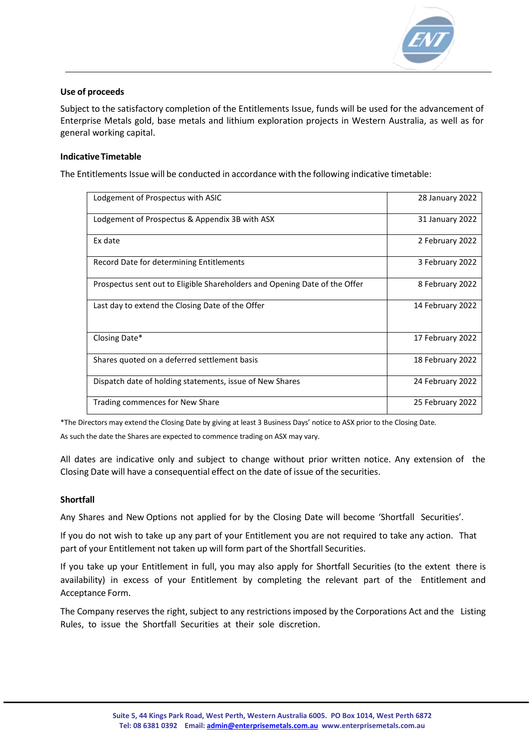

# **Use of proceeds**

Subject to the satisfactory completion of the Entitlements Issue, funds will be used for the advancement of Enterprise Metals gold, base metals and lithium exploration projects in Western Australia, as well as for general working capital.

# **IndicativeTimetable**

The Entitlements Issue will be conducted in accordance with the following indicative timetable:

| Lodgement of Prospectus with ASIC                                          | 28 January 2022  |
|----------------------------------------------------------------------------|------------------|
| Lodgement of Prospectus & Appendix 3B with ASX                             | 31 January 2022  |
| Ex date                                                                    | 2 February 2022  |
| Record Date for determining Entitlements                                   | 3 February 2022  |
| Prospectus sent out to Eligible Shareholders and Opening Date of the Offer | 8 February 2022  |
| Last day to extend the Closing Date of the Offer                           | 14 February 2022 |
| Closing Date*                                                              | 17 February 2022 |
| Shares quoted on a deferred settlement basis                               | 18 February 2022 |
| Dispatch date of holding statements, issue of New Shares                   | 24 February 2022 |
| Trading commences for New Share                                            | 25 February 2022 |

\*The Directors may extend the Closing Date by giving at least 3 Business Days' notice to ASX prior to the Closing Date.

As such the date the Shares are expected to commence trading on ASX may vary.

All dates are indicative only and subject to change without prior written notice. Any extension of the Closing Date will have a consequential effect on the date of issue of the securities.

#### **Shortfall**

Any Shares and New Options not applied for by the Closing Date will become 'Shortfall Securities'.

If you do not wish to take up any part of your Entitlement you are not required to take any action. That part of your Entitlement not taken up will form part of the Shortfall Securities.

If you take up your Entitlement in full, you may also apply for Shortfall Securities (to the extent there is availability) in excess of your Entitlement by completing the relevant part of the Entitlement and Acceptance Form.

The Company reserves the right, subject to any restrictions imposed by the Corporations Act and the Listing Rules, to issue the Shortfall Securities at their sole discretion.